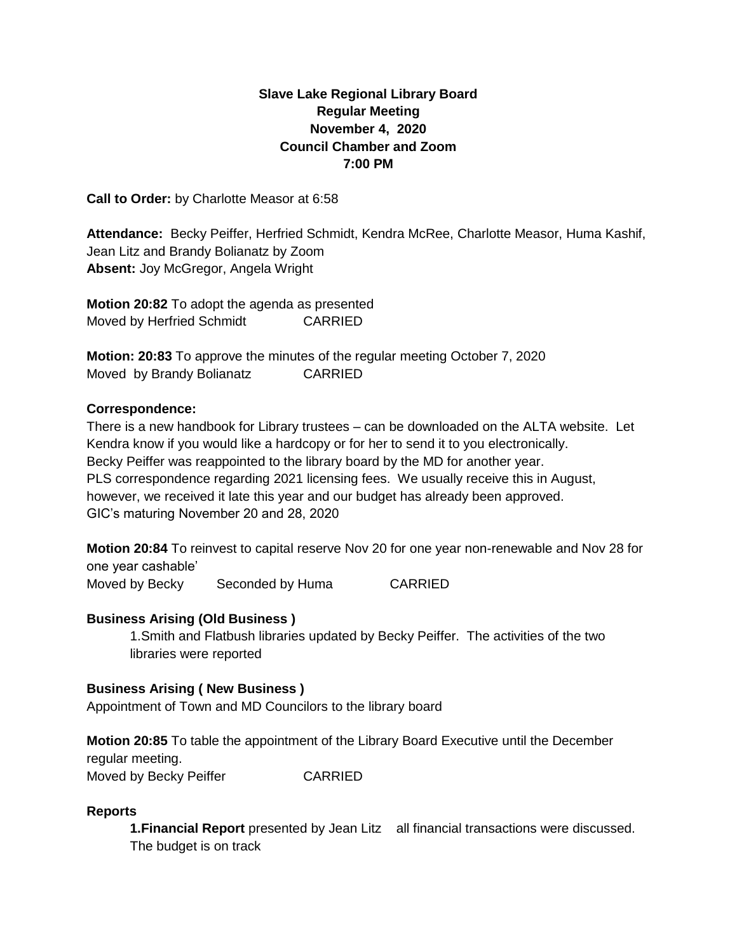# **Slave Lake Regional Library Board Regular Meeting November 4, 2020 Council Chamber and Zoom 7:00 PM**

**Call to Order:** by Charlotte Measor at 6:58

**Attendance:** Becky Peiffer, Herfried Schmidt, Kendra McRee, Charlotte Measor, Huma Kashif, Jean Litz and Brandy Bolianatz by Zoom **Absent:** Joy McGregor, Angela Wright

**Motion 20:82** To adopt the agenda as presented Moved by Herfried Schmidt CARRIED

**Motion: 20:83** To approve the minutes of the regular meeting October 7, 2020 Moved by Brandy Bolianatz CARRIED

#### **Correspondence:**

There is a new handbook for Library trustees – can be downloaded on the ALTA website. Let Kendra know if you would like a hardcopy or for her to send it to you electronically. Becky Peiffer was reappointed to the library board by the MD for another year. PLS correspondence regarding 2021 licensing fees. We usually receive this in August, however, we received it late this year and our budget has already been approved. GIC's maturing November 20 and 28, 2020

**Motion 20:84** To reinvest to capital reserve Nov 20 for one year non-renewable and Nov 28 for one year cashable'

Moved by Becky Seconded by Huma CARRIED

## **Business Arising (Old Business )**

1.Smith and Flatbush libraries updated by Becky Peiffer. The activities of the two libraries were reported

## **Business Arising ( New Business )**

Appointment of Town and MD Councilors to the library board

**Motion 20:85** To table the appointment of the Library Board Executive until the December regular meeting. Moved by Becky Peiffer CARRIED

#### **Reports**

**1.Financial Report** presented by Jean Litz all financial transactions were discussed. The budget is on track